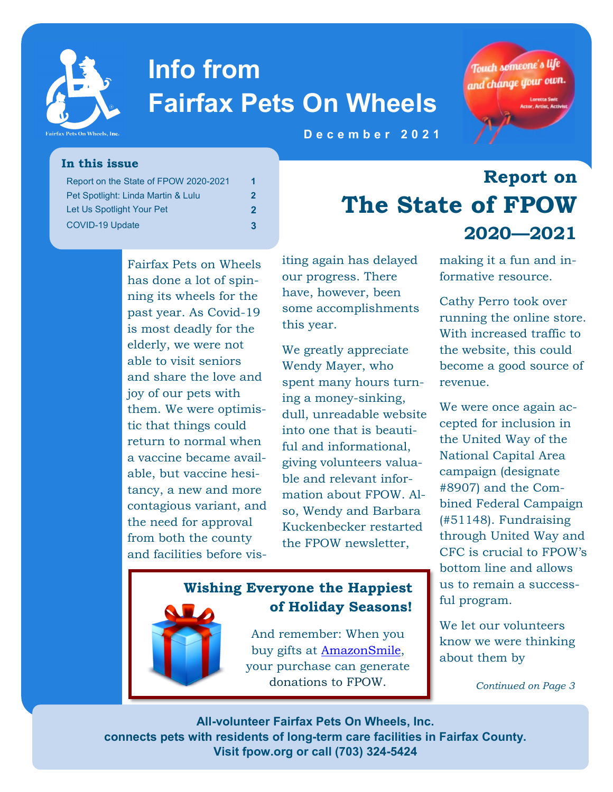

# **Info from Fairfax Pets On Wheels**



**Report on** 

**D e c e m b e r 2 0 2 1** 

#### **In this issue**

| Report on the State of FPOW 2020-2021 | 1 |
|---------------------------------------|---|
| Pet Spotlight: Linda Martin & Lulu    | 2 |
| Let Us Spotlight Your Pet             |   |
| COVID-19 Update                       | 3 |

Fairfax Pets on Wheels has done a lot of spinning its wheels for the past year. As Covid-19 is most deadly for the elderly, we were not able to visit seniors and share the love and joy of our pets with them. We were optimistic that things could return to normal when a vaccine became available, but vaccine hesitancy, a new and more contagious variant, and the need for approval from both the county and facilities before visiting again has delayed our progress. There have, however, been some accomplishments this year.

We greatly appreciate Wendy Mayer, who spent many hours turning a money-sinking, dull, unreadable website into one that is beautiful and informational, giving volunteers valuable and relevant information about FPOW. Also, Wendy and Barbara Kuckenbecker restarted the FPOW newsletter,

#### **Wishing Everyone the Happiest of Holiday Seasons!**

And remember: When you buy gifts at [AmazonSmile,](https://smile.amazon.com/gp/chpf/homepage/ref=smi_chpf_redirect?ie=UTF8&ein=54-1819865&ref_=smi_ext_ch_54-1819865_cl) your purchase can generate donations to FPOW.

making it a fun and informative resource.

**2020—2021** 

**The State of FPOW** 

Cathy Perro took over running the online store. With increased traffic to the website, this could become a good source of revenue.

We were once again accepted for inclusion in the United Way of the National Capital Area campaign (designate #8907) and the Combined Federal Campaign (#51148). Fundraising through United Way and CFC is crucial to FPOW's bottom line and allows us to remain a successful program.

We let our volunteers know we were thinking about them by

*Continued on Page 3*

**All-volunteer Fairfax Pets On Wheels, Inc. connects pets with residents of long-term care facilities in Fairfax County. Visit fpow.org or call (703) 324-5424**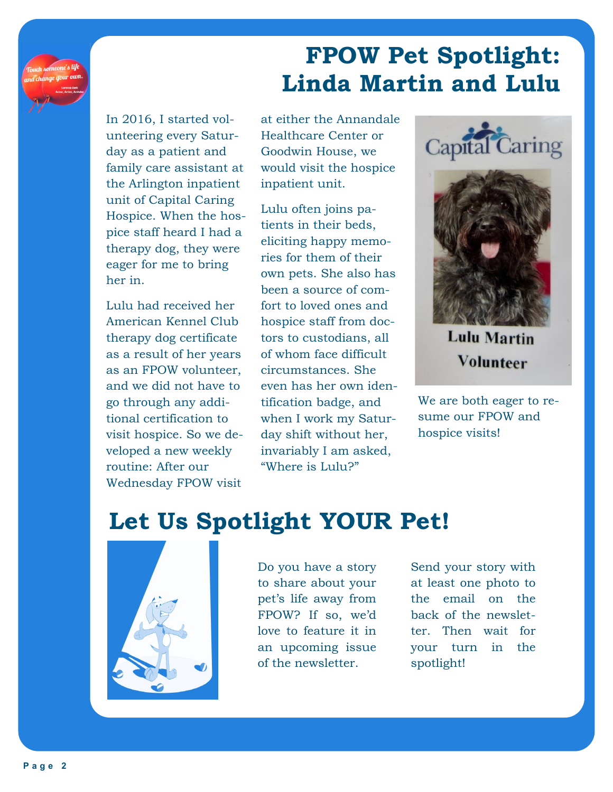## **FPOW Pet Spotlight: Linda Martin and Lulu**

In 2016, I started volunteering every Saturday as a patient and family care assistant at the Arlington inpatient unit of Capital Caring Hospice. When the hospice staff heard I had a therapy dog, they were eager for me to bring her in.

Lulu had received her American Kennel Club therapy dog certificate as a result of her years as an FPOW volunteer, and we did not have to go through any additional certification to visit hospice. So we developed a new weekly routine: After our Wednesday FPOW visit

at either the Annandale Healthcare Center or Goodwin House, we would visit the hospice inpatient unit.

Lulu often joins patients in their beds, eliciting happy memories for them of their own pets. She also has been a source of comfort to loved ones and hospice staff from doctors to custodians, all of whom face difficult circumstances. She even has her own identification badge, and when I work my Saturday shift without her, invariably I am asked, "Where is Lulu?"



**Lulu Martin** Volunteer

We are both eager to resume our FPOW and hospice visits!

## **Let Us Spotlight YOUR Pet!**



Do you have a story to share about your pet's life away from FPOW? If so, we'd love to feature it in an upcoming issue of the newsletter.

Send your story with at least one photo to the email on the back of the newsletter. Then wait for your turn in the spotlight!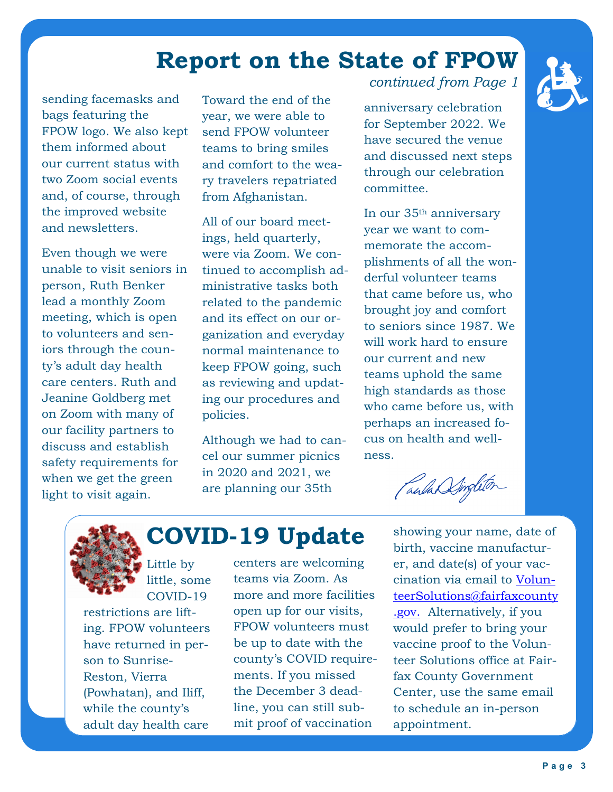### **Report on the State of FPOW**

sending facemasks and bags featuring the FPOW logo. We also kept them informed about our current status with two Zoom social events and, of course, through the improved website and newsletters.

Even though we were unable to visit seniors in person, Ruth Benker lead a monthly Zoom meeting, which is open to volunteers and seniors through the county's adult day health care centers. Ruth and Jeanine Goldberg met on Zoom with many of our facility partners to discuss and establish safety requirements for when we get the green light to visit again.

Toward the end of the year, we were able to send FPOW volunteer teams to bring smiles and comfort to the weary travelers repatriated from Afghanistan.

All of our board meetings, held quarterly, were via Zoom. We continued to accomplish administrative tasks both related to the pandemic and its effect on our organization and everyday normal maintenance to keep FPOW going, such as reviewing and updating our procedures and policies.

Although we had to cancel our summer picnics in 2020 and 2021, we are planning our 35th

*continued from Page 1*

anniversary celebration for September 2022. We have secured the venue and discussed next steps through our celebration committee.

In our 35th anniversary year we want to commemorate the accomplishments of all the wonderful volunteer teams that came before us, who brought joy and comfort to seniors since 1987. We will work hard to ensure our current and new teams uphold the same high standards as those who came before us, with perhaps an increased focus on health and wellness.

CaulasSingleton



### **COVID-19 Update**

Little by little, some COVID-19

restrictions are lifting. FPOW volunteers have returned in person to Sunrise-Reston, Vierra (Powhatan), and Iliff, while the county's adult day health care

centers are welcoming teams via Zoom. As more and more facilities open up for our visits, FPOW volunteers must be up to date with the county's COVID requirements. If you missed the December 3 deadline, you can still submit proof of vaccination

showing your name, date of birth, vaccine manufacturer, and date(s) of your vaccination via email to [Volun](mailto:VolunteerSolutions@fairfaxcounty.gov)[teerSolutions@fairfaxcounty](mailto:VolunteerSolutions@fairfaxcounty.gov) [.gov.](mailto:VolunteerSolutions@fairfaxcounty.gov) Alternatively, if you would prefer to bring your vaccine proof to the Volunteer Solutions office at Fairfax County Government Center, use the same email to schedule an in-person appointment.